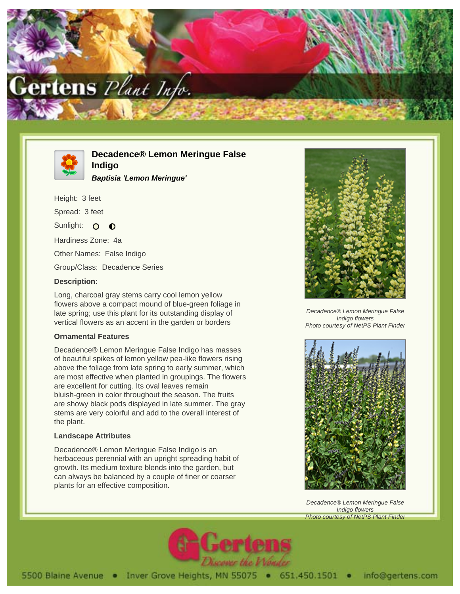



**Decadence® Lemon Meringue False Indigo**

**Baptisia 'Lemon Meringue'**

Height: 3 feet Spread: 3 feet

Sunlight: O  $\bullet$ 

Hardiness Zone: 4a

Other Names: False Indigo

Group/Class: Decadence Series

## **Description:**

Long, charcoal gray stems carry cool lemon yellow flowers above a compact mound of blue-green foliage in late spring; use this plant for its outstanding display of vertical flowers as an accent in the garden or borders

## **Ornamental Features**

Decadence® Lemon Meringue False Indigo has masses of beautiful spikes of lemon yellow pea-like flowers rising above the foliage from late spring to early summer, which are most effective when planted in groupings. The flowers are excellent for cutting. Its oval leaves remain bluish-green in color throughout the season. The fruits are showy black pods displayed in late summer. The gray stems are very colorful and add to the overall interest of the plant.

## **Landscape Attributes**

Decadence® Lemon Meringue False Indigo is an herbaceous perennial with an upright spreading habit of growth. Its medium texture blends into the garden, but can always be balanced by a couple of finer or coarser plants for an effective composition.



Decadence® Lemon Meringue False Indigo flowers Photo courtesy of NetPS Plant Finder



Decadence® Lemon Meringue False Indigo flowers Photo courtesy of NetPS Plant Finder